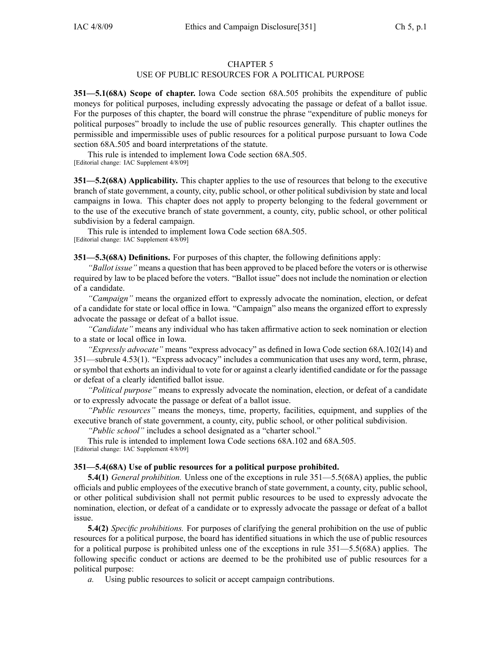## CHAPTER 5

## USE OF PUBLIC RESOURCES FOR A POLITICAL PURPOSE

**351—5.1(68A) Scope of chapter.** Iowa Code section 68A.505 prohibits the expenditure of public moneys for political purposes, including expressly advocating the passage or defeat of <sup>a</sup> ballot issue. For the purposes of this chapter, the board will construe the phrase "expenditure of public moneys for political purposes" broadly to include the use of public resources generally. This chapter outlines the permissible and impermissible uses of public resources for <sup>a</sup> political purpose pursuan<sup>t</sup> to Iowa Code section 68A.505 and board interpretations of the statute.

This rule is intended to implement Iowa Code section 68A.505. [Editorial change: IAC Supplement 4/8/09]

**351—5.2(68A) Applicability.** This chapter applies to the use of resources that belong to the executive branch of state government, <sup>a</sup> county, city, public school, or other political subdivision by state and local campaigns in Iowa. This chapter does not apply to property belonging to the federal governmen<sup>t</sup> or to the use of the executive branch of state government, <sup>a</sup> county, city, public school, or other political subdivision by <sup>a</sup> federal campaign.

This rule is intended to implement Iowa Code section 68A.505. [Editorial change: IAC Supplement 4/8/09]

**351—5.3(68A) Definitions.** For purposes of this chapter, the following definitions apply:

*"Ballot issue"* means <sup>a</sup> question that has been approved to be placed before the voters or is otherwise required by law to be placed before the voters. "Ballot issue" does not include the nomination or election of <sup>a</sup> candidate.

*"Campaign"* means the organized effort to expressly advocate the nomination, election, or defeat of <sup>a</sup> candidate for state or local office in Iowa. "Campaign" also means the organized effort to expressly advocate the passage or defeat of <sup>a</sup> ballot issue.

*"Candidate"* means any individual who has taken affirmative action to seek nomination or election to <sup>a</sup> state or local office in Iowa.

*"Expressly advocate"* means "express advocacy" as defined in Iowa Code section 68A.102(14) and 351—subrule 4.53(1). "Express advocacy" includes <sup>a</sup> communication that uses any word, term, phrase, or symbol that exhorts an individual to vote for or against <sup>a</sup> clearly identified candidate or for the passage or defeat of <sup>a</sup> clearly identified ballot issue.

*"Political purpose"* means to expressly advocate the nomination, election, or defeat of <sup>a</sup> candidate or to expressly advocate the passage or defeat of <sup>a</sup> ballot issue.

*"Public resources"* means the moneys, time, property, facilities, equipment, and supplies of the executive branch of state government, <sup>a</sup> county, city, public school, or other political subdivision.

*"Public school"* includes <sup>a</sup> school designated as <sup>a</sup> "charter school."

This rule is intended to implement Iowa Code sections 68A.102 and 68A.505. [Editorial change: IAC Supplement 4/8/09]

## **351—5.4(68A) Use of public resources for <sup>a</sup> political purpose prohibited.**

**5.4(1)** *General prohibition.* Unless one of the exceptions in rule 351—5.5(68A) applies, the public officials and public employees of the executive branch of state government, <sup>a</sup> county, city, public school, or other political subdivision shall not permit public resources to be used to expressly advocate the nomination, election, or defeat of <sup>a</sup> candidate or to expressly advocate the passage or defeat of <sup>a</sup> ballot issue.

**5.4(2)** *Specific prohibitions.* For purposes of clarifying the general prohibition on the use of public resources for <sup>a</sup> political purpose, the board has identified situations in which the use of public resources for <sup>a</sup> political purpose is prohibited unless one of the exceptions in rule 351—5.5(68A) applies. The following specific conduct or actions are deemed to be the prohibited use of public resources for <sup>a</sup> political purpose:

*a.* Using public resources to solicit or accep<sup>t</sup> campaign contributions.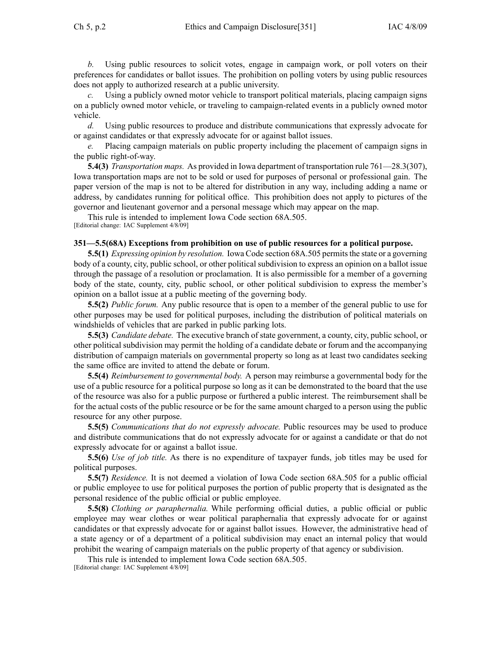*b.* Using public resources to solicit votes, engage in campaign work, or poll voters on their preferences for candidates or ballot issues. The prohibition on polling voters by using public resources does not apply to authorized research at <sup>a</sup> public university.

*c.* Using <sup>a</sup> publicly owned motor vehicle to transport political materials, placing campaign signs on <sup>a</sup> publicly owned motor vehicle, or traveling to campaign-related events in <sup>a</sup> publicly owned motor vehicle.

*d.* Using public resources to produce and distribute communications that expressly advocate for or against candidates or that expressly advocate for or against ballot issues.

*e.* Placing campaign materials on public property including the placement of campaign signs in the public right-of-way.

**5.4(3)** *Transportation maps.* As provided in Iowa department of transportation rule 761—28.3(307), Iowa transportation maps are not to be sold or used for purposes of personal or professional gain. The paper version of the map is not to be altered for distribution in any way, including adding <sup>a</sup> name or address, by candidates running for political office. This prohibition does not apply to pictures of the governor and lieutenant governor and <sup>a</sup> personal message which may appear on the map.

This rule is intended to implement Iowa Code section 68A.505.

[Editorial change: IAC Supplement 4/8/09]

## **351—5.5(68A) Exceptions from prohibition on use of public resources for <sup>a</sup> political purpose.**

**5.5(1)** *Expressing opinion by resolution.* Iowa Code section 68A.505 permitsthe state or <sup>a</sup> governing body of <sup>a</sup> county, city, public school, or other political subdivision to express an opinion on <sup>a</sup> ballot issue through the passage of <sup>a</sup> resolution or proclamation. It is also permissible for <sup>a</sup> member of <sup>a</sup> governing body of the state, county, city, public school, or other political subdivision to express the member's opinion on <sup>a</sup> ballot issue at <sup>a</sup> public meeting of the governing body.

**5.5(2)** *Public forum.* Any public resource that is open to <sup>a</sup> member of the general public to use for other purposes may be used for political purposes, including the distribution of political materials on windshields of vehicles that are parked in public parking lots.

**5.5(3)** *Candidate debate.* The executive branch of state government, <sup>a</sup> county, city, public school, or other political subdivision may permit the holding of <sup>a</sup> candidate debate or forum and the accompanying distribution of campaign materials on governmental property so long as at least two candidates seeking the same office are invited to attend the debate or forum.

**5.5(4)** *Reimbursement to governmental body.* A person may reimburse <sup>a</sup> governmental body for the use of <sup>a</sup> public resource for <sup>a</sup> political purpose so long as it can be demonstrated to the board that the use of the resource was also for <sup>a</sup> public purpose or furthered <sup>a</sup> public interest. The reimbursement shall be for the actual costs of the public resource or be for the same amount charged to <sup>a</sup> person using the public resource for any other purpose.

**5.5(5)** *Communications that do not expressly advocate.* Public resources may be used to produce and distribute communications that do not expressly advocate for or against <sup>a</sup> candidate or that do not expressly advocate for or against <sup>a</sup> ballot issue.

**5.5(6)** *Use of job title.* As there is no expenditure of taxpayer funds, job titles may be used for political purposes.

**5.5(7)** *Residence.* It is not deemed <sup>a</sup> violation of Iowa Code section 68A.505 for <sup>a</sup> public official or public employee to use for political purposes the portion of public property that is designated as the personal residence of the public official or public employee.

**5.5(8)** *Clothing or paraphernalia.* While performing official duties, <sup>a</sup> public official or public employee may wear clothes or wear political paraphernalia that expressly advocate for or against candidates or that expressly advocate for or against ballot issues. However, the administrative head of <sup>a</sup> state agency or of <sup>a</sup> department of <sup>a</sup> political subdivision may enact an internal policy that would prohibit the wearing of campaign materials on the public property of that agency or subdivision.

This rule is intended to implement Iowa Code section 68A.505. [Editorial change: IAC Supplement 4/8/09]